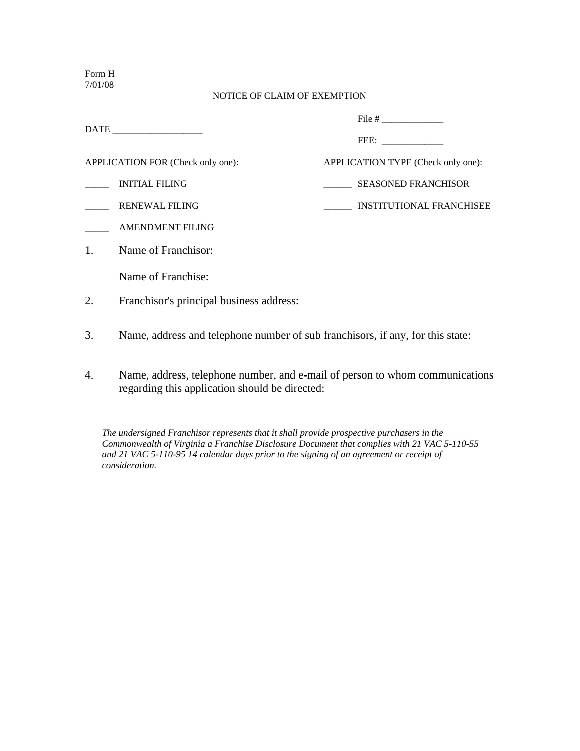Form H 7/01/08

## NOTICE OF CLAIM OF EXEMPTION

|              |                                          | APPLICATION TYPE (Check only one):<br><b>SEASONED FRANCHISOR</b><br><b>INSTITUTIONAL FRANCHISEE</b> |  |
|--------------|------------------------------------------|-----------------------------------------------------------------------------------------------------|--|
|              | APPLICATION FOR (Check only one):        |                                                                                                     |  |
|              | <b>INITIAL FILING</b>                    |                                                                                                     |  |
|              | <b>RENEWAL FILING</b>                    |                                                                                                     |  |
|              | <b>AMENDMENT FILING</b>                  |                                                                                                     |  |
| $\mathbf{1}$ | Name of Franchisor:                      |                                                                                                     |  |
|              | Name of Franchise:                       |                                                                                                     |  |
| 2.           | Franchisor's principal business address: |                                                                                                     |  |
|              |                                          |                                                                                                     |  |

- 3. Name, address and telephone number of sub franchisors, if any, for this state:
- 4. Name, address, telephone number, and e-mail of person to whom communications regarding this application should be directed:

*The undersigned Franchisor represents that it shall provide prospective purchasers in the Commonwealth of Virginia a Franchise Disclosure Document that complies with 21 VAC 5-110-55 and 21 VAC 5-110-95 14 calendar days prior to the signing of an agreement or receipt of consideration.*